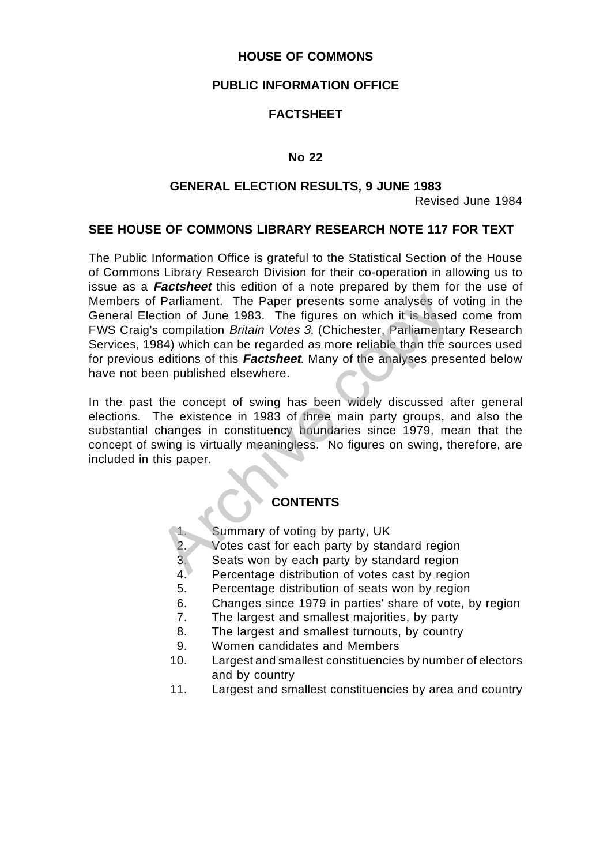## **HOUSE OF COMMONS**

## **PUBLIC INFORMATION OFFICE**

## **FACTSHEET**

## **No 22**

## **GENERAL ELECTION RESULTS, 9 JUNE 1983**

Revised June 1984

## **SEE HOUSE OF COMMONS LIBRARY RESEARCH NOTE 117 FOR TEXT**

Parliament. The Paper presents some analyses of v<br>
ction of June 1983. The figures on which it is based<br>
scompilation *Britain Votes 3*, (Chichester, Parliamenta<br>
84) which can be regarded as more reliable than the sc<br>
edi The Public Information Office is grateful to the Statistical Section of the House of Commons Library Research Division for their co-operation in allowing us to issue as a **Factsheet** this edition of a note prepared by them for the use of Members of Parliament. The Paper presents some analyses of voting in the General Election of June 1983. The figures on which it is based come from FWS Craig's compilation Britain Votes 3, (Chichester, Parliamentary Research Services, 1984) which can be regarded as more reliable than the sources used for previous editions of this **Factsheet**. Many of the analyses presented below have not been published elsewhere.

In the past the concept of swing has been widely discussed after general elections. The existence in 1983 of three main party groups, and also the substantial changes in constituency boundaries since 1979, mean that the concept of swing is virtually meaningless. No figures on swing, therefore, are included in this paper.

## **CONTENTS**

- 1. Summary of voting by party, UK
- 2. Votes cast for each party by standard region<br>3. Seats won by each party by standard region
- Seats won by each party by standard region
- 4. Percentage distribution of votes cast by region
- 5. Percentage distribution of seats won by region
- 6. Changes since 1979 in parties' share of vote, by region
- 7. The largest and smallest majorities, by party
- 8. The largest and smallest turnouts, by country
- 9. Women candidates and Members
- 10. Largest and smallest constituencies by number of electors and by country
- 11. Largest and smallest constituencies by area and country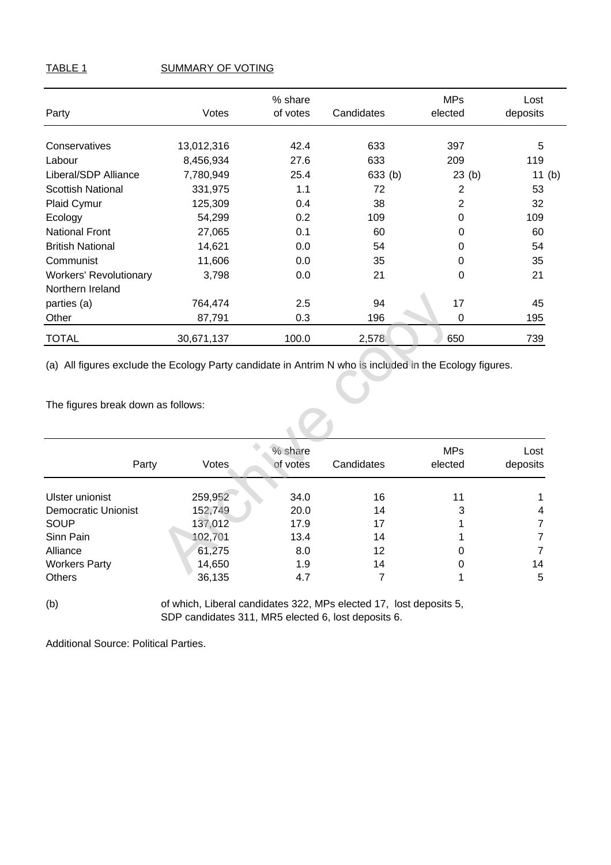## TABLE 1 SUMMARY OF VOTING

| Party                         | Votes      | % share<br>of votes | Candidates | <b>MPs</b><br>elected | Lost<br>deposits |
|-------------------------------|------------|---------------------|------------|-----------------------|------------------|
| Conservatives                 | 13,012,316 | 42.4                | 633        | 397                   | 5                |
|                               |            |                     |            |                       |                  |
| Labour                        | 8,456,934  | 27.6                | 633        | 209                   | 119              |
| Liberal/SDP Alliance          | 7,780,949  | 25.4                | 633(b)     | 23(b)                 | 11 $(b)$         |
| <b>Scottish National</b>      | 331,975    | 1.1                 | 72         | $\overline{2}$        | 53               |
| Plaid Cymur                   | 125,309    | 0.4                 | 38         | $\overline{2}$        | 32               |
| Ecology                       | 54,299     | 0.2                 | 109        | $\Omega$              | 109              |
| <b>National Front</b>         | 27,065     | 0.1                 | 60         | 0                     | 60               |
| <b>British National</b>       | 14,621     | 0.0                 | 54         | 0                     | 54               |
| Communist                     | 11,606     | 0.0                 | 35         | 0                     | 35               |
| <b>Workers' Revolutionary</b> | 3,798      | 0.0                 | 21         | 0                     | 21               |
| Northern Ireland              |            |                     |            |                       |                  |
| parties (a)                   | 764,474    | 2.5                 | 94         | 17                    | 45               |
| Other                         | 87,791     | 0.3                 | 196        | $\Omega$              | 195              |
| <b>TOTAL</b>                  | 30,671,137 | 100.0               | 2,578      | 650                   | 739              |

| parties (a)<br>Other               | 764,474    | 87,791                       | 2.5<br>94<br>0.3<br>196                                                                                 | 17<br>0               | 45<br>195        |
|------------------------------------|------------|------------------------------|---------------------------------------------------------------------------------------------------------|-----------------------|------------------|
| <b>TOTAL</b>                       | 30,671,137 |                              | 100.0<br>2,578                                                                                          | 650                   | 739              |
|                                    |            |                              | (a) All figures exclude the Ecology Party candidate in Antrim N who is included in the Ecology figures. |                       |                  |
| The figures break down as follows: |            |                              |                                                                                                         |                       |                  |
|                                    |            |                              |                                                                                                         |                       |                  |
|                                    | Party      | % share<br>Votes<br>of votes | Candidates                                                                                              | <b>MPs</b><br>elected | Lost<br>deposits |
| Ulster unionist                    | 259,952    |                              | 16<br>34.0                                                                                              | 11                    |                  |
| <b>Democratic Unionist</b>         | 152,749    |                              | 20.0<br>14                                                                                              | 3                     | 4                |
| <b>SOUP</b>                        | 137,012    |                              | 17.9<br>17                                                                                              |                       | 7                |
| Sinn Pain                          | 102,701    |                              | 13.4<br>14                                                                                              |                       | 7                |
| Alliance                           |            | 61,275                       | 12<br>8.0                                                                                               | 0                     | 7                |
| <b>Workers Party</b>               |            | 14,650                       | 1.9<br>14                                                                                               | 0                     | 14               |
| <b>Others</b>                      |            | 36,135                       | 4.7                                                                                                     | 7                     | 5                |

(b) of which, Liberal candidates 322, MPs elected 17, lost deposits 5, SDP candidates 311, MR5 elected 6, lost deposits 6.

Additional Source: Political Parties.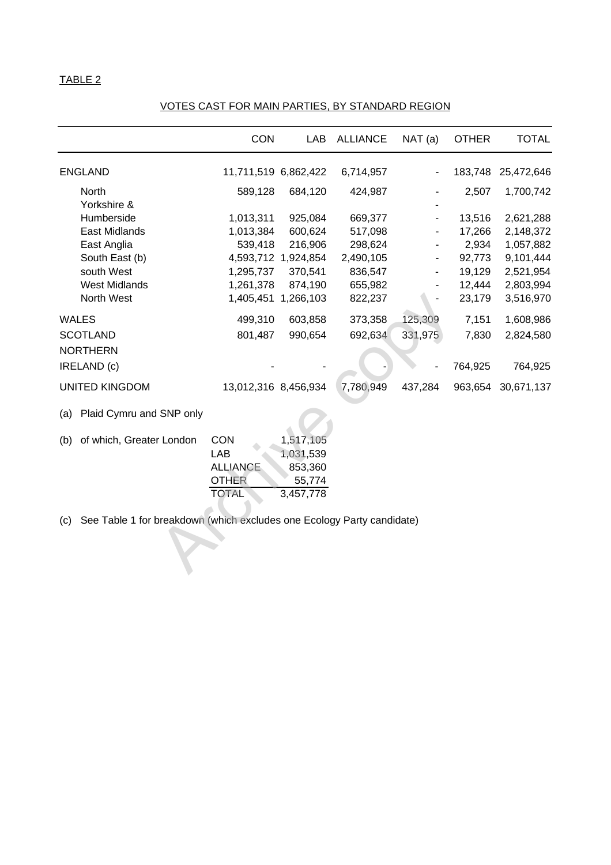# 1,405,451 1,266,103 822,237<br>
499,310 603,858 373,358 125,309<br>
801,487 990,654 692,634 331,975<br>
13,012,316 8,456,934 7,780,949 437,284 9<br>
SNP only<br>
r London CON 1,517,105<br>
LAB 1,031,539<br>
ALLIANCE 853,360<br>
TOTAL 5,57,778<br>
c CON LAB ALLIANCE NAT (a) OTHER TOTAL ENGLAND 11,711,519 6,862,422 6,714,957 - 183,748 25,472,646 North 589,128 684,120 424,987 - 2,507 1,700,742 Yorkshire & Humberside 1,013,311 925,084 669,377 - 13,516 2,621,288 East Midlands 1,013,384 600,624 517,098 - 17,266 2,148,372 East Anglia 539,418 216,906 298,624 - 2,934 1,057,882 South East (b) 4,593,712 1,924,854 2,490,105 - 92,773 9,101,444 south West 1,295,737 370,541 836,547 - 19,129 2,521,954 West Midlands 1,261,378 874,190 655,982 - 12,444 2,803,994 North West 1,405,451 1,266,103 822,237 - 23,179 3,516,970 WALES 499,310 603,858 373,358 125,309 7,151 1,608,986 SCOTLAND 801,487 990,654 692,634 331,975 7,830 2,824,580 NORTHERN IRELAND (c) - - - - 764,925 764,925 UNITED KINGDOM 13,012,316 8,456,934 7,780,949 437,284 963,654 30,671,137 (a) Plaid Cymru and SNP only (b) of which, Greater London CON 1,517,105 LAB 1,031,539 ALLIANCE 853,360 OTHER 55,774 TOTAL 3,457,778

#### VOTES CAST FOR MAIN PARTIES, BY STANDARD REGION

(c) See Table 1 for breakdown (which excludes one Ecology Party candidate)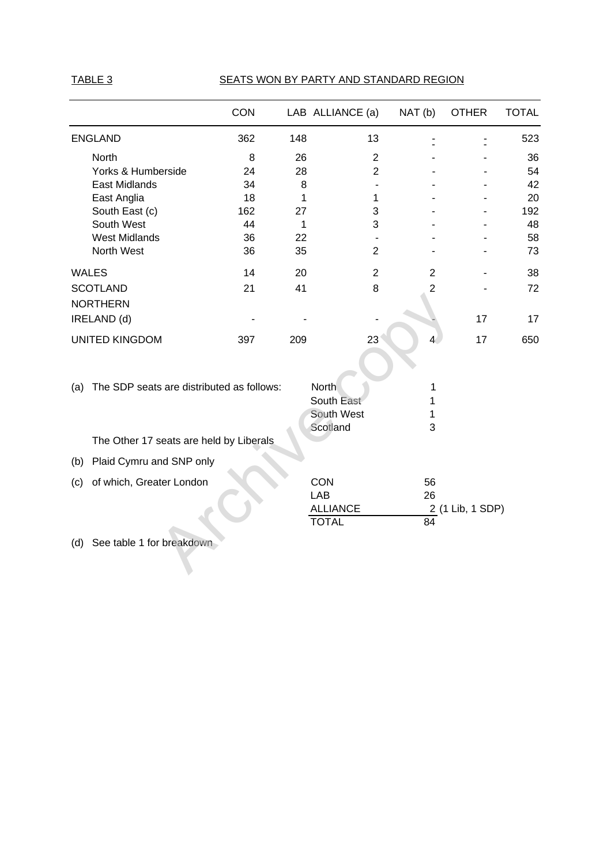## TABLE 3 SEATS WON BY PARTY AND STANDARD REGION

|                                                  | CON |     | LAB ALLIANCE (a) | NAT(b)         | <b>OTHER</b>     | <b>TOTAL</b> |
|--------------------------------------------------|-----|-----|------------------|----------------|------------------|--------------|
| <b>ENGLAND</b>                                   | 362 | 148 | 13               |                |                  | 523          |
| North                                            | 8   | 26  | $\overline{2}$   |                |                  | 36           |
| Yorks & Humberside                               | 24  | 28  | $\overline{2}$   |                |                  | 54           |
| <b>East Midlands</b>                             | 34  | 8   |                  |                |                  | 42           |
| East Anglia                                      | 18  | 1   | 1                |                |                  | 20           |
| South East (c)                                   | 162 | 27  | 3                |                |                  | 192          |
| South West                                       | 44  | 1   | 3                |                |                  | 48           |
| <b>West Midlands</b>                             | 36  | 22  |                  |                |                  | 58           |
| North West                                       | 36  | 35  | $\overline{2}$   |                |                  | 73           |
| <b>WALES</b>                                     | 14  | 20  | $\overline{2}$   | $\overline{2}$ |                  | 38           |
| <b>SCOTLAND</b>                                  | 21  | 41  | 8                | $\overline{2}$ |                  | 72           |
| <b>NORTHERN</b>                                  |     |     |                  |                |                  |              |
| IRELAND (d)                                      |     |     |                  |                | 17               | 17           |
| <b>UNITED KINGDOM</b>                            | 397 | 209 | 23               | $\overline{4}$ | 17               | 650          |
|                                                  |     |     |                  |                |                  |              |
| The SDP seats are distributed as follows:<br>(a) |     |     | North            | 1              |                  |              |
|                                                  |     |     | South East       | 1              |                  |              |
|                                                  |     |     | South West       | 1              |                  |              |
| The Other 17 seats are held by Liberals          |     |     | Scotland         | 3              |                  |              |
| Plaid Cymru and SNP only<br>(b)                  |     |     |                  |                |                  |              |
| of which, Greater London<br>(c)                  |     |     | CON              | 56             |                  |              |
|                                                  |     |     | <b>LAB</b>       | 26             |                  |              |
|                                                  |     |     | <b>ALLIANCE</b>  |                | 2 (1 Lib, 1 SDP) |              |
|                                                  |     |     | <b>TOTAL</b>     | 84             |                  |              |
| See table 1 for breakdown<br>(d)                 |     |     |                  |                |                  |              |
|                                                  |     |     |                  |                |                  |              |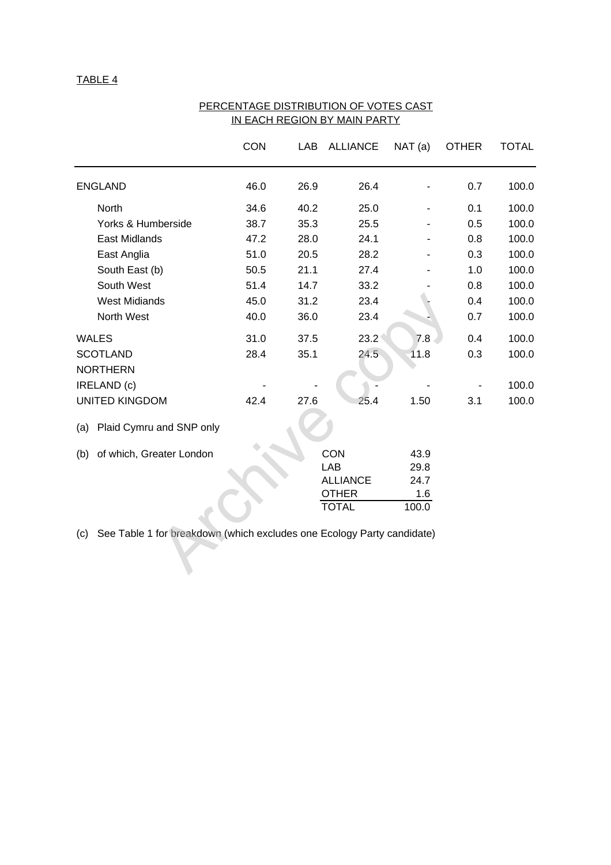|                                                                               | <b>CON</b> |      | LAB ALLIANCE    | NAT(a) | <b>OTHER</b> | <b>TOTAL</b> |
|-------------------------------------------------------------------------------|------------|------|-----------------|--------|--------------|--------------|
| <b>ENGLAND</b>                                                                | 46.0       | 26.9 | 26.4            |        | 0.7          | 100.0        |
| North                                                                         | 34.6       | 40.2 | 25.0            |        | 0.1          | 100.0        |
| Yorks & Humberside                                                            | 38.7       | 35.3 | 25.5            |        | 0.5          | 100.0        |
| East Midlands                                                                 | 47.2       | 28.0 | 24.1            |        | 0.8          | 100.0        |
| East Anglia                                                                   | 51.0       | 20.5 | 28.2            |        | 0.3          | 100.0        |
| South East (b)                                                                | 50.5       | 21.1 | 27.4            |        | 1.0          | 100.0        |
| South West                                                                    | 51.4       | 14.7 | 33.2            |        | 0.8          | 100.0        |
| <b>West Midiands</b>                                                          | 45.0       | 31.2 | 23.4            |        | 0.4          | 100.0        |
| North West                                                                    | 40.0       | 36.0 | 23.4            |        | 0.7          | 100.0        |
| <b>WALES</b>                                                                  | 31.0       | 37.5 | $23.2^{\circ}$  | 7.8    | 0.4          | 100.0        |
| <b>SCOTLAND</b><br><b>NORTHERN</b>                                            | 28.4       | 35.1 | 24.5            | 11.8   | 0.3          | 100.0        |
| IRELAND (c)                                                                   |            |      |                 |        |              | 100.0        |
| <b>UNITED KINGDOM</b>                                                         | 42.4       | 27.6 | 25.4            | 1.50   | 3.1          | 100.0        |
| Plaid Cymru and SNP only<br>(a)                                               |            |      |                 |        |              |              |
| of which, Greater London<br>(b)                                               |            |      | <b>CON</b>      | 43.9   |              |              |
|                                                                               |            |      | <b>LAB</b>      | 29.8   |              |              |
|                                                                               |            |      | <b>ALLIANCE</b> | 24.7   |              |              |
|                                                                               |            |      | <b>OTHER</b>    | 1.6    |              |              |
|                                                                               |            |      | <b>TOTAL</b>    | 100.0  |              |              |
| See Table 1 for breakdown (which excludes one Ecology Party candidate)<br>(c) |            |      |                 |        |              |              |

#### PERCENTAGE DISTRIBUTION OF VOTES CAST IN EACH REGION BY MAIN PARTY

| (b) of which, Greater London | CON             | 43.9  |
|------------------------------|-----------------|-------|
|                              | LAB             | 29.8  |
|                              | <b>ALLIANCE</b> | 24.7  |
|                              | <b>OTHER</b>    | 1.6   |
|                              | <b>TOTAL</b>    | 100.0 |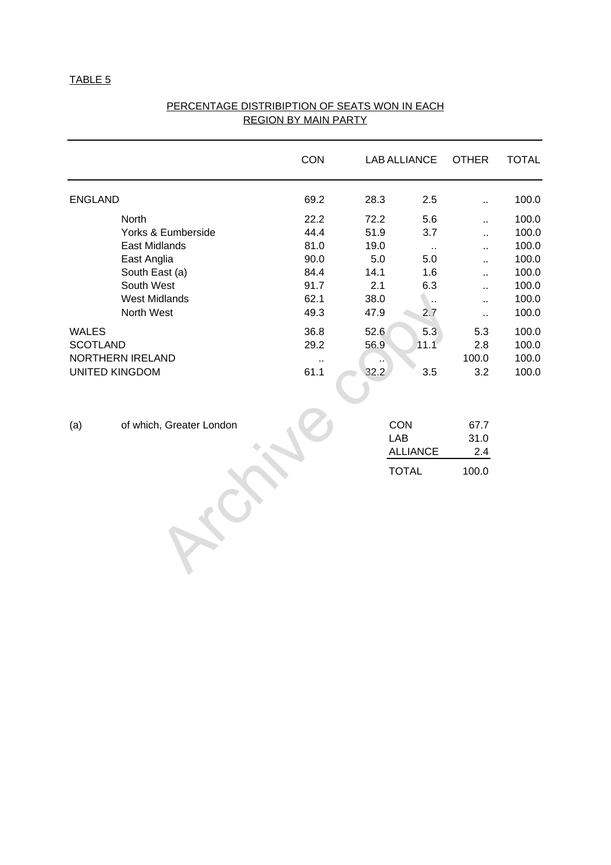|                 |                          | CON    | <b>LAB ALLIANCE</b> |                      | <b>OTHER</b> | <b>TOTAL</b> |
|-----------------|--------------------------|--------|---------------------|----------------------|--------------|--------------|
| <b>ENGLAND</b>  |                          | 69.2   | 28.3                | 2.5                  | ă.           | 100.0        |
|                 | North                    | 22.2   | 72.2                | 5.6                  | ä.           | 100.0        |
|                 | Yorks & Eumberside       | 44.4   | 51.9                | 3.7                  | ä.           | 100.0        |
|                 | <b>East Midlands</b>     | 81.0   | 19.0                | $\sim$               |              | 100.0        |
|                 | East Anglia              | 90.0   | 5.0                 | 5.0                  |              | 100.0        |
|                 | South East (a)           | 84.4   | 14.1                | 1.6                  | ä.           | 100.0        |
|                 | South West               | 91.7   | 2.1                 | 6.3                  | ă.           | 100.0        |
|                 | <b>West Midlands</b>     | 62.1   | 38.0                | $\ddot{\phantom{a}}$ | ò.           | 100.0        |
|                 | North West               | 49.3   | 47.9                | 2.7                  | Ω,           | 100.0        |
| WALES           |                          | 36.8   | 52.6                | 5.3                  | 5.3          | 100.0        |
| <b>SCOTLAND</b> |                          | 29.2   | 56.9                | 11.1                 | 2.8          | 100.0        |
|                 | NORTHERN IRELAND         | $\sim$ |                     |                      | 100.0        | 100.0        |
|                 | UNITED KINGDOM           | 61.1   | 32.2                | 3.5                  | 3.2          | 100.0        |
| (a)             | of which, Greater London |        | CON<br>LAB          |                      | 67.7<br>31.0 |              |
|                 |                          |        |                     | <b>ALLIANCE</b>      | 2.4          |              |
|                 |                          |        |                     | <b>TOTAL</b>         | 100.0        |              |
|                 |                          |        |                     |                      |              |              |

## PERCENTAGE DISTRIBIPTION OF SEATS WON IN EACH REGION BY MAIN PARTY

- 
-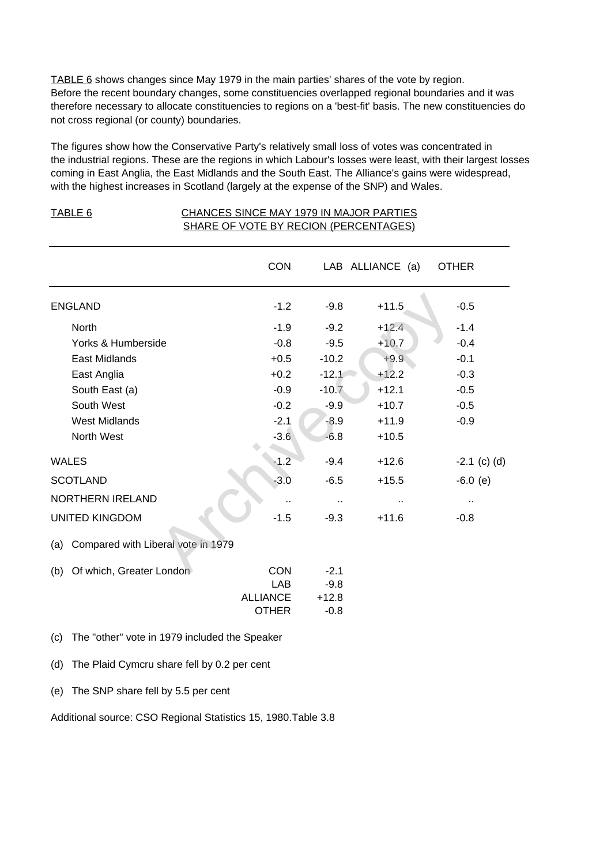TABLE 6 shows changes since May 1979 in the main parties' shares of the vote by region. Before the recent boundary changes, some constituencies overlapped regional boundaries and it was therefore necessary to allocate constituencies to regions on a 'best-fit' basis. The new constituencies do not cross regional (or county) boundaries.

The figures show how the Conservative Party's relatively small loss of votes was concentrated in the industrial regions. These are the regions in which Labour's losses were least, with their largest losses coming in East Anglia, the East Midlands and the South East. The Alliance's gains were widespread, with the highest increases in Scotland (largely at the expense of the SNP) and Wales.

TABLE 6 CHANCES SINCE MAY 1979 IN MAJOR PARTIES

|                 |                                               | SHARE OF VOTE BY RECION (PERCENTAGES) |         |                  |                      |
|-----------------|-----------------------------------------------|---------------------------------------|---------|------------------|----------------------|
|                 |                                               | <b>CON</b>                            |         | LAB ALLIANCE (a) | <b>OTHER</b>         |
| <b>ENGLAND</b>  |                                               | $-1.2$                                | $-9.8$  | $+11.5$          | $-0.5$               |
|                 | <b>North</b>                                  | $-1.9$                                | $-9.2$  | $+12.4$          | $-1.4$               |
|                 | Yorks & Humberside                            | $-0.8$                                | $-9.5$  | $+10.7$          | $-0.4$               |
|                 | East Midlands                                 | $+0.5$                                | $-10.2$ | $+9.9$           | $-0.1$               |
|                 | East Anglia                                   | $+0.2$                                | $-12.1$ | $+12.2$          | $-0.3$               |
|                 | South East (a)                                | $-0.9$                                | $-10.7$ | $+12.1$          | $-0.5$               |
|                 | South West                                    | $-0.2$                                | $-9.9$  | $+10.7$          | $-0.5$               |
|                 | <b>West Midlands</b>                          | $-2.1$                                | $-8.9$  | $+11.9$          | $-0.9$               |
|                 | North West                                    | $-3.6$                                | $-6.8$  | $+10.5$          |                      |
| <b>WALES</b>    |                                               | $-1.2$                                | $-9.4$  | $+12.6$          | $-2.1$ (c) (d)       |
| <b>SCOTLAND</b> |                                               | $-3.0$                                | $-6.5$  | $+15.5$          | $-6.0$ (e)           |
|                 | NORTHERN IRELAND                              |                                       | ٠.      |                  | $\ddot{\phantom{1}}$ |
|                 | <b>UNITED KINGDOM</b>                         | $-1.5$                                | $-9.3$  | $+11.6$          | $-0.8$               |
| (a)             | Compared with Liberal vote in 1979            |                                       |         |                  |                      |
| (b)             | Of which, Greater London                      | <b>CON</b>                            | $-2.1$  |                  |                      |
|                 |                                               | <b>LAB</b>                            | $-9.8$  |                  |                      |
|                 |                                               | <b>ALLIANCE</b>                       | $+12.8$ |                  |                      |
|                 |                                               | <b>OTHER</b>                          | $-0.8$  |                  |                      |
| (c)             | The "other" vote in 1979 included the Speaker |                                       |         |                  |                      |

(d) The Plaid Cymcru share fell by 0.2 per cent

(e) The SNP share fell by 5.5 per cent

Additional source: CSO Regional Statistics 15, 1980.Table 3.8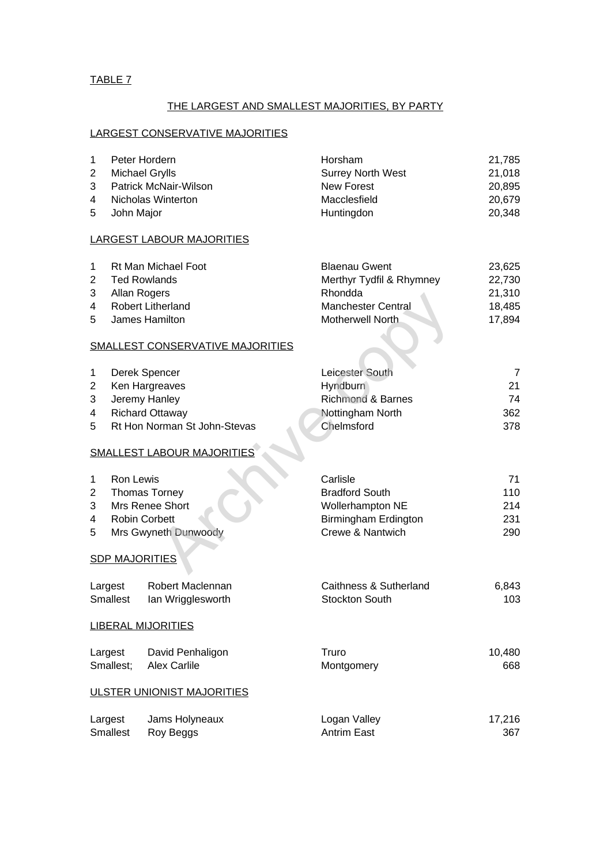## THE LARGEST AND SMALLEST MAJORITIES, BY PARTY

## LARGEST CONSERVATIVE MAJORITIES

| $\mathbf{1}$   |                 | Peter Hordern                           | Horsham                      | 21,785 |
|----------------|-----------------|-----------------------------------------|------------------------------|--------|
| $\overline{2}$ |                 | Michael Grylls                          | <b>Surrey North West</b>     | 21,018 |
| 3              |                 | Patrick McNair-Wilson                   | <b>New Forest</b>            | 20,895 |
| 4              |                 | Nicholas Winterton                      | Macclesfield                 | 20,679 |
| 5              | John Major      |                                         | Huntingdon                   | 20,348 |
|                |                 | <b>LARGEST LABOUR MAJORITIES</b>        |                              |        |
| 1              |                 | Rt Man Michael Foot                     | <b>Blaenau Gwent</b>         | 23,625 |
| $\overline{2}$ |                 | <b>Ted Rowlands</b>                     | Merthyr Tydfil & Rhymney     | 22,730 |
| 3              |                 | Allan Rogers                            | Rhondda                      | 21,310 |
| 4              |                 | Robert Litherland                       | Manchester Central           | 18,485 |
| 5              |                 | James Hamilton                          | Motherwell North             | 17,894 |
|                |                 | <b>SMALLEST CONSERVATIVE MAJORITIES</b> |                              |        |
| 1              |                 | Derek Spencer                           | Leicester South              | 7      |
| $\overline{2}$ |                 | Ken Hargreaves                          | Hyndburn                     | 21     |
| 3              |                 | Jeremy Hanley                           | <b>Richmond &amp; Barnes</b> | 74     |
| 4              |                 | <b>Richard Ottaway</b>                  | Nottingham North             | 362    |
| 5              |                 | Rt Hon Norman St John-Stevas            | Chelmsford                   | 378    |
|                |                 | <b>SMALLEST LABOUR MAJORITIES</b>       |                              |        |
| $\mathbf 1$    | Ron Lewis       |                                         | Carlisle                     | 71     |
| $\overline{2}$ |                 | <b>Thomas Torney</b>                    | <b>Bradford South</b>        | 110    |
| 3              |                 | Mrs Renee Short                         | Wollerhampton NE             | 214    |
| 4              |                 | <b>Robin Corbett</b>                    | Birmingham Erdington         | 231    |
| 5              |                 | Mrs Gwyneth Dunwoody                    | Crewe & Nantwich             | 290    |
|                |                 | <b>SDP MAJORITIES</b>                   |                              |        |
|                | Largest         | Robert Maclennan                        | Caithness & Sutherland       | 6,843  |
|                | <b>Smallest</b> | lan Wrigglesworth                       | <b>Stockton South</b>        | 103    |
|                |                 | <b>LIBERAL MIJORITIES</b>               |                              |        |
|                | Largest         | David Penhaligon                        | Truro                        | 10,480 |
|                | Smallest;       | <b>Alex Carlile</b>                     | Montgomery                   | 668    |
|                |                 | <b>ULSTER UNIONIST MAJORITIES</b>       |                              |        |
|                | Largest         | Jams Holyneaux                          | Logan Valley                 | 17,216 |
|                | <b>Smallest</b> | Roy Beggs                               | <b>Antrim East</b>           | 367    |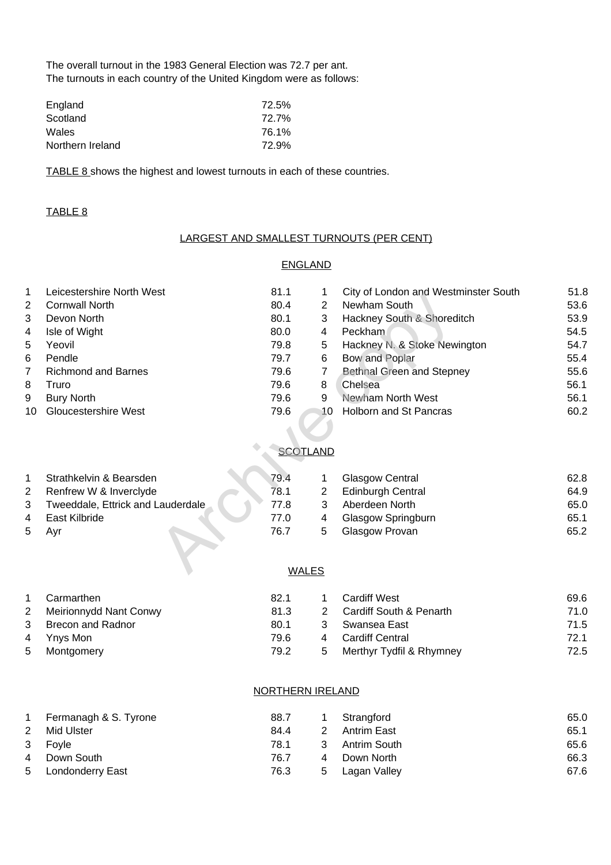The overall turnout in the 1983 General Election was 72.7 per ant. The turnouts in each country of the United Kingdom were as follows:

| England          | 72.5% |
|------------------|-------|
| Scotland         | 72.7% |
| <b>Wales</b>     | 76.1% |
| Northern Ireland | 72.9% |

TABLE 8 shows the highest and lowest turnouts in each of these countries.

#### TABLE 8

#### LARGEST AND SMALLEST TURNOUTS (PER CENT)

#### ENGLAND

| 1            | Leicestershire North West         | 81.1 | 1               | City of London and Westminster South | 51.8 |
|--------------|-----------------------------------|------|-----------------|--------------------------------------|------|
| 2            | <b>Cornwall North</b>             | 80.4 | $\overline{2}$  | Newham South                         | 53.6 |
| 3            | Devon North                       | 80.1 | 3               | Hackney South & Shoreditch           | 53.9 |
| 4            | Isle of Wight                     | 80.0 | 4               | Peckham                              | 54.5 |
| 5            | Yeovil                            | 79.8 | 5               | Hackney N. & Stoke Newington         | 54.7 |
| 6            | Pendle                            | 79.7 | 6               | Bow and Poplar                       | 55.4 |
| 7            | <b>Richmond and Barnes</b>        | 79.6 | 7               | <b>Bethnal Green and Stepney</b>     | 55.6 |
| 8            | Truro                             | 79.6 | 8               | Chelsea                              | 56.1 |
| 9            | <b>Bury North</b>                 | 79.6 | 9               | Newham North West                    | 56.1 |
| 10           | <b>Gloucestershire West</b>       | 79.6 | 10              | Holborn and St Pancras               | 60.2 |
|              |                                   |      |                 |                                      |      |
|              |                                   |      |                 |                                      |      |
|              |                                   |      | <b>SCOTLAND</b> |                                      |      |
| $\mathbf{1}$ | Strathkelvin & Bearsden           | 79.4 |                 | <b>Glasgow Central</b>               | 62.8 |
| 2            | Renfrew W & Inverclyde            | 78.1 | $\overline{2}$  | <b>Edinburgh Central</b>             | 64.9 |
| 3            | Tweeddale, Ettrick and Lauderdale | 77.8 | 3               | Aberdeen North                       | 65.0 |
| 4            | East Kilbride                     | 77.0 | 4               | Glasgow Springburn                   | 65.1 |
| 5            | Ayr                               | 76.7 | 5               | Glasgow Provan                       | 65.2 |
|              |                                   |      |                 |                                      |      |
|              |                                   |      | <b>WALES</b>    |                                      |      |

#### **SCOTLAND**

|   | Strathkelvin & Bearsden           | 79.4 |    | <b>Glasgow Central</b>    | 62.8 |
|---|-----------------------------------|------|----|---------------------------|------|
|   | Renfrew W & Inverclyde            | 78.1 |    | <b>Edinburgh Central</b>  | 64.9 |
| 3 | Tweeddale, Ettrick and Lauderdale | 77.8 |    | Aberdeen North            | 65.0 |
| 4 | East Kilbride                     | 77.0 | 4  | <b>Glasgow Springburn</b> | 65.1 |
| 5 | Avr                               | 76.7 | h. | Glasgow Provan            | 65.2 |

## WALES

|   | Carmarthen             | 82.1 |               | <b>Cardiff West</b>      | 69.6 |
|---|------------------------|------|---------------|--------------------------|------|
| 2 | Meirionnydd Nant Conwy | 81.3 | $\mathcal{P}$ | Cardiff South & Penarth  | 71.0 |
| 3 | Brecon and Radnor      | 80.1 | 3             | Swansea East             | 71.5 |
|   | 4 Ynys Mon             | 79.6 | $\mathbf 4$   | Cardiff Central          | 72.1 |
|   | 5 Montgomery           | 79.2 | 5             | Merthyr Tydfil & Rhymney | 72.5 |

#### NORTHERN IRELAND

| 1 | Fermanagh & S. Tyrone   | 88.7 |   | Strangford   | 65.0 |
|---|-------------------------|------|---|--------------|------|
| 2 | Mid Ulster              | 84.4 |   | Antrim East  | 65.1 |
| 3 | Fovle                   | 78.1 | 3 | Antrim South | 65.6 |
| 4 | Down South              | 76.7 |   | Down North   | 66.3 |
| 5 | <b>Londonderry East</b> | 76.3 | 5 | Lagan Valley | 67.6 |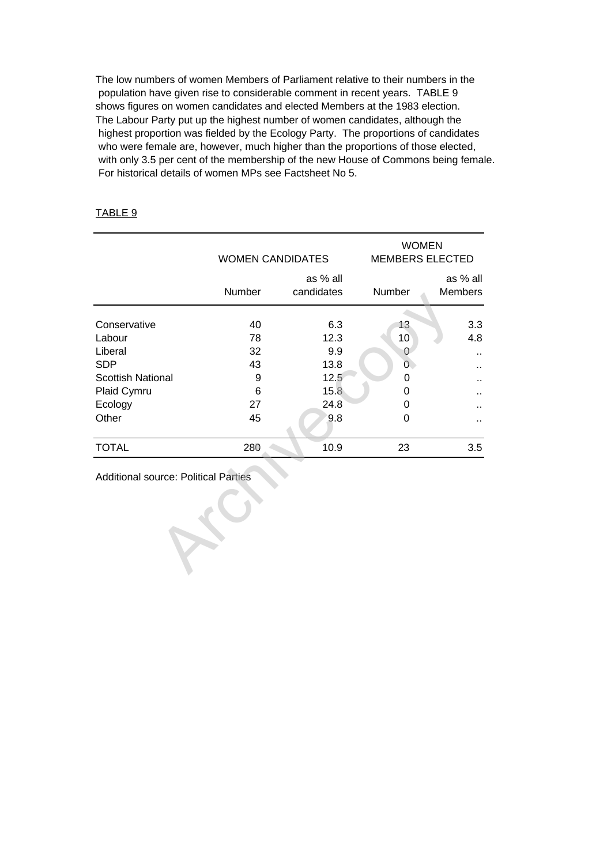The low numbers of women Members of Parliament relative to their numbers in the population have given rise to considerable comment in recent years. TABLE 9 shows figures on women candidates and elected Members at the 1983 election. The Labour Party put up the highest number of women candidates, although the highest proportion was fielded by the Ecology Party. The proportions of candidates who were female are, however, much higher than the proportions of those elected, with only 3.5 per cent of the membership of the new House of Commons being female. For historical details of women MPs see Factsheet No 5.

## TABLE 9

|                                             |        | <b>WOMEN CANDIDATES</b> | <b>WOMEN</b><br><b>MEMBERS ELECTED</b> |                            |  |  |  |
|---------------------------------------------|--------|-------------------------|----------------------------------------|----------------------------|--|--|--|
|                                             | Number | as % all<br>candidates  | Number                                 | as % all<br><b>Members</b> |  |  |  |
| Conservative                                | 40     | 6.3                     | 13 <sub>2</sub>                        | 3.3                        |  |  |  |
| Labour                                      | 78     | 12.3                    | 10 <sup>°</sup>                        | 4.8                        |  |  |  |
| Liberal                                     | 32     | 9.9                     | 0                                      | ٠.                         |  |  |  |
| <b>SDP</b>                                  | 43     | 13.8                    | $\overline{0}$                         |                            |  |  |  |
| <b>Scottish National</b>                    | 9      | 12.5                    | 0                                      |                            |  |  |  |
| Plaid Cymru                                 | 6      | 15.8                    | 0                                      |                            |  |  |  |
| Ecology                                     | 27     | 24.8                    | 0                                      |                            |  |  |  |
| Other                                       | 45     | 9.8                     | 0                                      |                            |  |  |  |
| <b>TOTAL</b>                                | 280    | 10.9                    | 23                                     | 3.5                        |  |  |  |
| <b>Additional source: Political Parties</b> |        |                         |                                        |                            |  |  |  |
|                                             |        |                         |                                        |                            |  |  |  |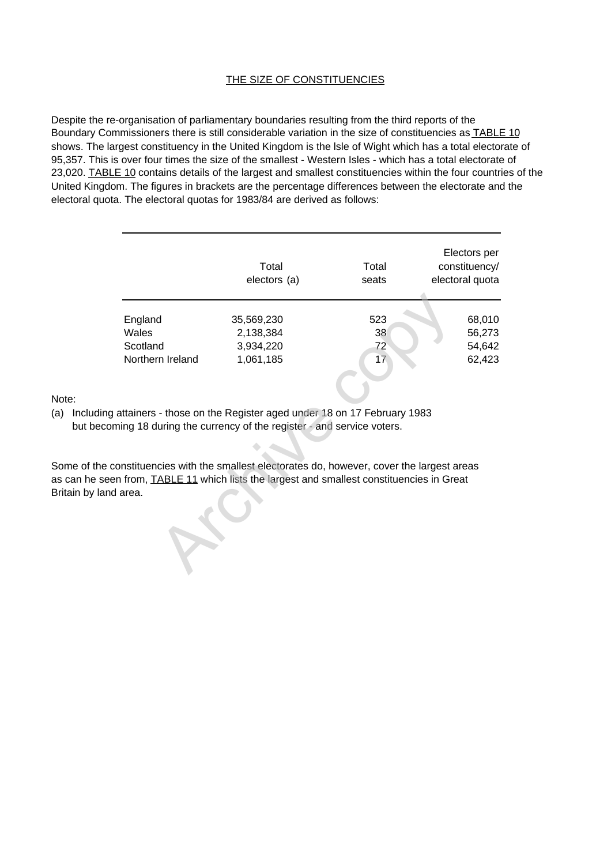#### THE SIZE OF CONSTITUENCIES

Despite the re-organisation of parliamentary boundaries resulting from the third reports of the Boundary Commissioners there is still considerable variation in the size of constituencies as **TABLE 10** shows. The largest constituency in the United Kingdom is the lsle of Wight which has a total electorate of 95,357. This is over four times the size of the smallest - Western Isles - which has a total electorate of 23,020. TABLE 10 contains details of the largest and smallest constituencies within the four countries of the United Kingdom. The figures in brackets are the percentage differences between the electorate and the electoral quota. The electoral quotas for 1983/84 are derived as follows:

|                                                  | Total<br>electors (a)                                                                                                                                                    | Total<br>seats        | Electors per<br>constituency/<br>electoral quota |
|--------------------------------------------------|--------------------------------------------------------------------------------------------------------------------------------------------------------------------------|-----------------------|--------------------------------------------------|
| England<br>Wales<br>Scotland<br>Northern Ireland | 35,569,230<br>2,138,384<br>3,934,220<br>1,061,185                                                                                                                        | 523<br>38<br>72<br>17 | 68,010<br>56,273<br>54,642<br>62,423             |
|                                                  | attainers - those on the Register aged under 18 on 17 February 1983<br>ning 18 during the currency of the register - and service voters.                                 |                       |                                                  |
| area.                                            | onstituencies with the smallest electorates do, however, cover the largest areas<br>n from, <b>TABLE 11</b> which lists the largest and smallest constituencies in Great |                       |                                                  |

Note:

(a) Including attainers - those on the Register aged under 18 on 17 February 1983 but becoming 18 during the currency of the register - and service voters.

Some of the constituencies with the smallest electorates do, however, cover the largest areas as can he seen from, TABLE 11 which lists the largest and smallest constituencies in Great Britain by land area.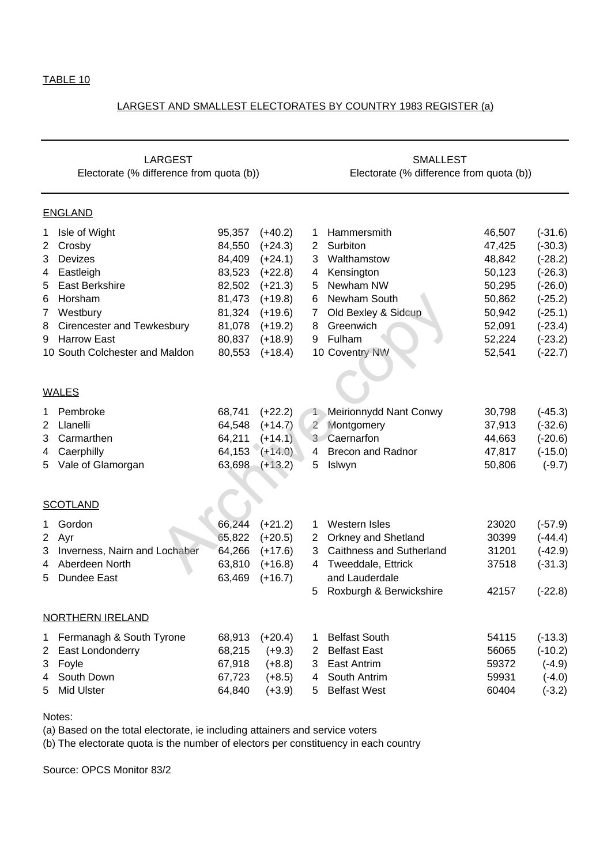#### LARGEST AND SMALLEST ELECTORATES BY COUNTRY 1983 REGISTER (a)

| <b>LARGEST</b> |                                          |        |           | <b>SMALLEST</b>                          |                                 |        |           |  |
|----------------|------------------------------------------|--------|-----------|------------------------------------------|---------------------------------|--------|-----------|--|
|                | Electorate (% difference from quota (b)) |        |           | Electorate (% difference from quota (b)) |                                 |        |           |  |
|                | <u>ENGLAND</u>                           |        |           |                                          |                                 |        |           |  |
| 1              | Isle of Wight                            | 95,357 | $(+40.2)$ | 1                                        | Hammersmith                     | 46,507 | $(-31.6)$ |  |
| 2              | Crosby                                   | 84,550 | $(+24.3)$ | $\mathbf{2}$                             | Surbiton                        | 47,425 | $(-30.3)$ |  |
| 3              | Devizes                                  | 84,409 | $(+24.1)$ | 3                                        | Walthamstow                     | 48,842 | $(-28.2)$ |  |
| 4              | Eastleigh                                | 83,523 | $(+22.8)$ | 4                                        | Kensington                      | 50,123 | $(-26.3)$ |  |
| 5              | <b>East Berkshire</b>                    | 82,502 | $(+21.3)$ | 5                                        | Newham NW                       | 50,295 | $(-26.0)$ |  |
| 6              | Horsham                                  | 81,473 | $(+19.8)$ | 6                                        | Newham South                    | 50,862 | $(-25.2)$ |  |
| 7              | Westbury                                 | 81,324 | $(+19.6)$ | 7                                        | Old Bexley & Sidcup             | 50,942 | $(-25.1)$ |  |
| 8              | Cirencester and Tewkesbury               | 81,078 | $(+19.2)$ | 8                                        | Greenwich                       | 52,091 | $(-23.4)$ |  |
| 9              | <b>Harrow East</b>                       | 80,837 | $(+18.9)$ | 9                                        | Fulham                          | 52,224 | $(-23.2)$ |  |
|                | 10 South Colchester and Maldon           | 80,553 | $(+18.4)$ |                                          | 10 Coventry NW                  | 52,541 | $(-22.7)$ |  |
|                |                                          |        |           |                                          |                                 |        |           |  |
|                |                                          |        |           |                                          |                                 |        |           |  |
|                | <u>WALES</u>                             |        |           |                                          |                                 |        |           |  |
| 1              | Pembroke                                 | 68,741 | $(+22.2)$ |                                          | 1 Meirionnydd Nant Conwy        | 30,798 | $(-45.3)$ |  |
| 2              | Llanelli                                 | 64,548 | $(+14.7)$ | $\overline{2}$                           | Montgomery                      | 37,913 | $(-32.6)$ |  |
| 3              | Carmarthen                               | 64,211 | $(+14.1)$ | 3 <sup>7</sup>                           | Caernarfon                      | 44,663 | $(-20.6)$ |  |
| 4              | Caerphilly                               | 64,153 | $(+14.0)$ | 4                                        | <b>Brecon and Radnor</b>        | 47,817 | $(-15.0)$ |  |
| 5              | Vale of Glamorgan                        | 63,698 | $(+13.2)$ | 5                                        | Islwyn                          | 50,806 | $(-9.7)$  |  |
|                |                                          |        |           |                                          |                                 |        |           |  |
|                |                                          |        |           |                                          |                                 |        |           |  |
|                | <u>SCOTLAND</u>                          |        |           |                                          |                                 |        |           |  |
| 1              | Gordon                                   | 66,244 | $(+21.2)$ | 1                                        | <b>Western Isles</b>            | 23020  | $(-57.9)$ |  |
| 2              | Ayr                                      | 65,822 | $(+20.5)$ | $2^{\circ}$                              | <b>Orkney and Shetland</b>      | 30399  | $(-44.4)$ |  |
| 3              | Inverness, Nairn and Lochaber            | 64,266 | $(+17.6)$ | 3                                        | <b>Caithness and Sutherland</b> | 31201  | $(-42.9)$ |  |
| 4              | Aberdeen North                           | 63,810 | $(+16.8)$ | 4                                        | Tweeddale, Ettrick              | 37518  | $(-31.3)$ |  |
| 5              | Dundee East                              | 63,469 | $(+16.7)$ |                                          | and Lauderdale                  |        |           |  |
|                |                                          |        |           | 5                                        | Roxburgh & Berwickshire         | 42157  | $(-22.8)$ |  |
|                | NORTHERN IRELAND                         |        |           |                                          |                                 |        |           |  |
|                |                                          |        |           |                                          |                                 |        |           |  |
| 1              | Fermanagh & South Tyrone                 | 68,913 | $(+20.4)$ | 1                                        | <b>Belfast South</b>            | 54115  | $(-13.3)$ |  |
| 2              | East Londonderry                         | 68,215 | $(+9.3)$  | $\overline{2}$                           | <b>Belfast East</b>             | 56065  | $(-10.2)$ |  |
| 3              | Foyle                                    | 67,918 | $(+8.8)$  | 3                                        | <b>East Antrim</b>              | 59372  | $(-4.9)$  |  |
| 4              | South Down                               | 67,723 | $(+8.5)$  | 4                                        | South Antrim                    | 59931  | $(-4.0)$  |  |
| 5              | <b>Mid Ulster</b>                        | 64,840 | $(+3.9)$  | 5                                        | <b>Belfast West</b>             | 60404  | $(-3.2)$  |  |
|                |                                          |        |           |                                          |                                 |        |           |  |

Notes:

(a) Based on the total electorate, ie including attainers and service voters

(b) The electorate quota is the number of electors per constituency in each country

Source: OPCS Monitor 83/2